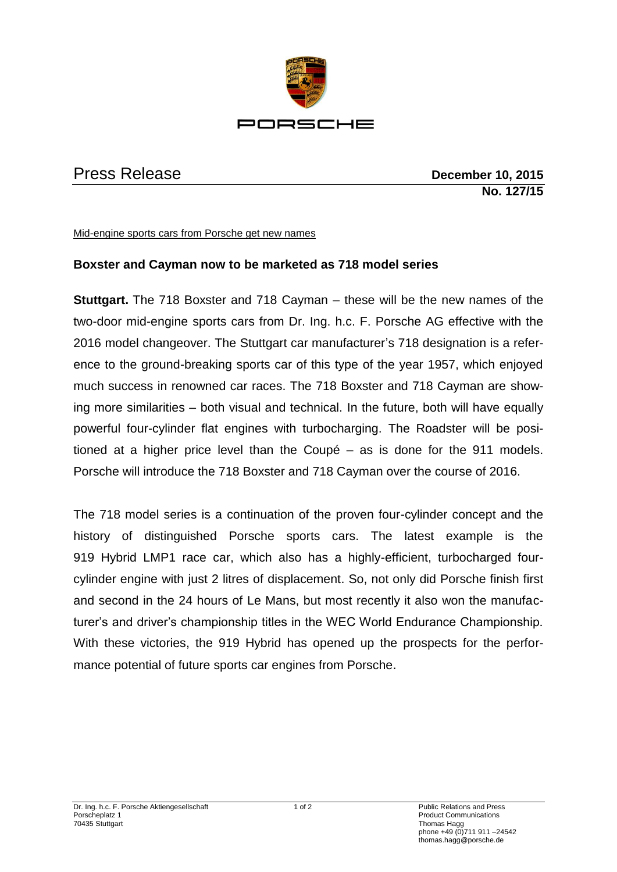

Press Release **December 10, 2015 No. 127/15**

Mid-engine sports cars from Porsche get new names

## **Boxster and Cayman now to be marketed as 718 model series**

**Stuttgart.** The 718 Boxster and 718 Cayman – these will be the new names of the two-door mid-engine sports cars from Dr. Ing. h.c. F. Porsche AG effective with the 2016 model changeover. The Stuttgart car manufacturer's 718 designation is a reference to the ground-breaking sports car of this type of the year 1957, which enjoyed much success in renowned car races. The 718 Boxster and 718 Cayman are showing more similarities – both visual and technical. In the future, both will have equally powerful four-cylinder flat engines with turbocharging. The Roadster will be positioned at a higher price level than the Coupé – as is done for the 911 models. Porsche will introduce the 718 Boxster and 718 Cayman over the course of 2016.

The 718 model series is a continuation of the proven four-cylinder concept and the history of distinguished Porsche sports cars. The latest example is the 919 Hybrid LMP1 race car, which also has a highly-efficient, turbocharged fourcylinder engine with just 2 litres of displacement. So, not only did Porsche finish first and second in the 24 hours of Le Mans, but most recently it also won the manufacturer's and driver's championship titles in the WEC World Endurance Championship. With these victories, the 919 Hybrid has opened up the prospects for the performance potential of future sports car engines from Porsche.